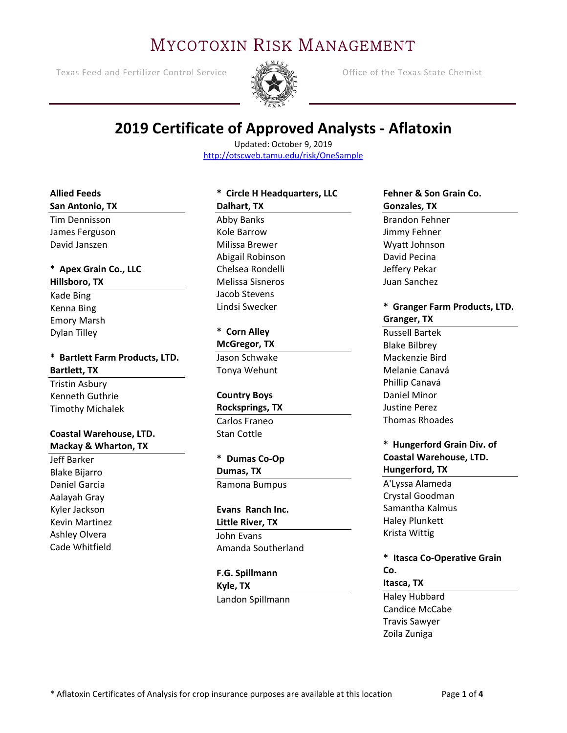# MYCOTOXIN RISK MANAGEMENT

Texas Feed and Fertilizer Control Service  **Control Service** Office of the Texas State Chemist



# **2019 Certificate of Approved Analysts ‐ Aflatoxin**

Updated: October 9, 2019 http://otscweb.tamu.edu/risk/OneSample

#### **Allied Feeds San Antonio, TX**

Tim Dennisson James Ferguson David Janszen

#### **\* Apex Grain Co., LLC Hillsboro, TX**

Kade Bing Kenna Bing Emory Marsh Dylan Tilley

### **\* Bartlett Farm Products, LTD. Bartlett, TX**

Tristin Asbury Kenneth Guthrie Timothy Michalek

#### **Coastal Warehouse, LTD. Mackay & Wharton, TX**

Jeff Barker Blake Bijarro Daniel Garcia Aalayah Gray Kyler Jackson Kevin Martinez Ashley Olvera Cade Whitfield

### **\* Circle H Headquarters, LLC Dalhart, TX**  Abby Banks Kole Barrow Milissa Brewer Abigail Robinson Chelsea Rondelli Melissa Sisneros Jacob Stevens Lindsi Swecker

**\* Corn Alley McGregor, TX**  Jason Schwake Tonya Wehunt

#### **Country Boys**

**Rocksprings, TX**  Carlos Franeo Stan Cottle

### **\* Dumas Co‐Op**

**Dumas, TX**  Ramona Bumpus

### **Evans Ranch Inc.**

**Little River, TX**  John Evans Amanda Southerland

**F.G. Spillmann Kyle, TX**  Landon Spillmann

#### **Fehner & Son Grain Co. Gonzales, TX**

Brandon Fehner Jimmy Fehner Wyatt Johnson David Pecina Jeffery Pekar Juan Sanchez

#### **\* Granger Farm Products, LTD. Granger, TX**

Russell Bartek Blake Bilbrey Mackenzie Bird Melanie Canavá Phillip Canavá Daniel Minor Justine Perez Thomas Rhoades

#### **\* Hungerford Grain Div. of Coastal Warehouse, LTD. Hungerford, TX**

A'Lyssa Alameda Crystal Goodman Samantha Kalmus Haley Plunkett Krista Wittig

**\* Itasca Co‐Operative Grain Co.** 

#### **Itasca, TX**

Haley Hubbard Candice McCabe Travis Sawyer Zoila Zuniga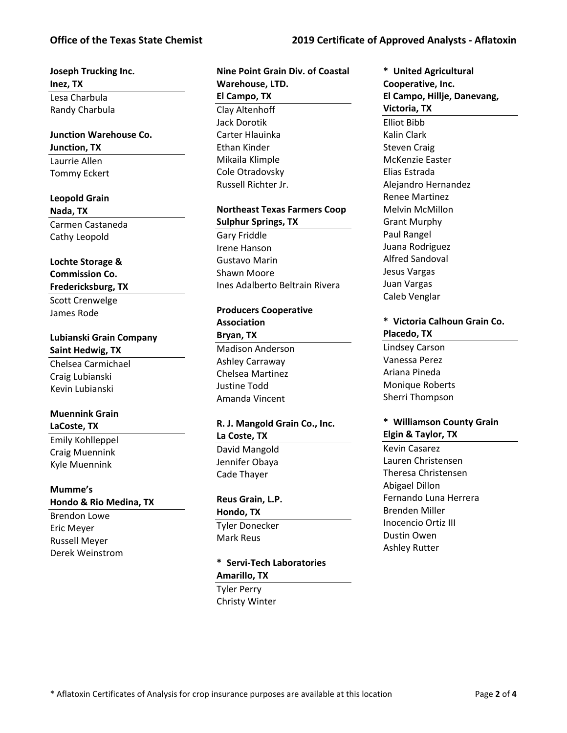#### **Office of the Texas State Chemist 2019 Certificate of Approved Analysts ‐ Aflatoxin**

## **Joseph Trucking Inc. Inez, TX**

Lesa Charbula Randy Charbula

### **Junction Warehouse Co. Junction, TX**  Laurrie Allen

Tommy Eckert

#### **Leopold Grain**

**Nada, TX** 

Carmen Castaneda Cathy Leopold

#### **Lochte Storage & Commission Co.**

#### **Fredericksburg, TX**

Scott Crenwelge James Rode

#### **Lubianski Grain Company Saint Hedwig, TX**

Chelsea Carmichael Craig Lubianski Kevin Lubianski

#### **Muennink Grain**

#### **LaCoste, TX**

Emily Kohlleppel Craig Muennink Kyle Muennink

# **Mumme's**

#### **Hondo & Rio Medina, TX**

Brendon Lowe Eric Meyer Russell Meyer Derek Weinstrom

#### **Nine Point Grain Div. of Coastal Warehouse, LTD. El Campo, TX**  Clay Altenhoff Jack Dorotik Carter Hlauinka Ethan Kinder Mikaila Klimple Cole Otradovsky Russell Richter Jr.

#### **Northeast Texas Farmers Coop Sulphur Springs, TX**  Gary Friddle Irene Hanson Gustavo Marin Shawn Moore

Ines Adalberto Beltrain Rivera

#### **Producers Cooperative Association Bryan, TX**

Madison Anderson Ashley Carraway Chelsea Martinez Justine Todd Amanda Vincent

#### **R. J. Mangold Grain Co., Inc. La Coste, TX**

David Mangold Jennifer Obaya Cade Thayer

#### **Reus Grain, L.P.**

#### **Hondo, TX**

Tyler Donecker Mark Reus

# **\* Servi‐Tech Laboratories Amarillo, TX**

Tyler Perry Christy Winter

## **\* United Agricultural Cooperative, Inc. El Campo, Hillje, Danevang,**

**Victoria, TX**  Elliot Bibb Kalin Clark Steven Craig McKenzie Easter Elias Estrada Alejandro Hernandez Renee Martinez Melvin McMillon Grant Murphy Paul Rangel Juana Rodriguez Alfred Sandoval Jesus Vargas Juan Vargas Caleb Venglar

#### **\* Victoria Calhoun Grain Co. Placedo, TX**

Lindsey Carson Vanessa Perez Ariana Pineda Monique Roberts Sherri Thompson

#### **\* Williamson County Grain Elgin & Taylor, TX**

Kevin Casarez Lauren Christensen Theresa Christensen Abigael Dillon Fernando Luna Herrera Brenden Miller Inocencio Ortiz III Dustin Owen Ashley Rutter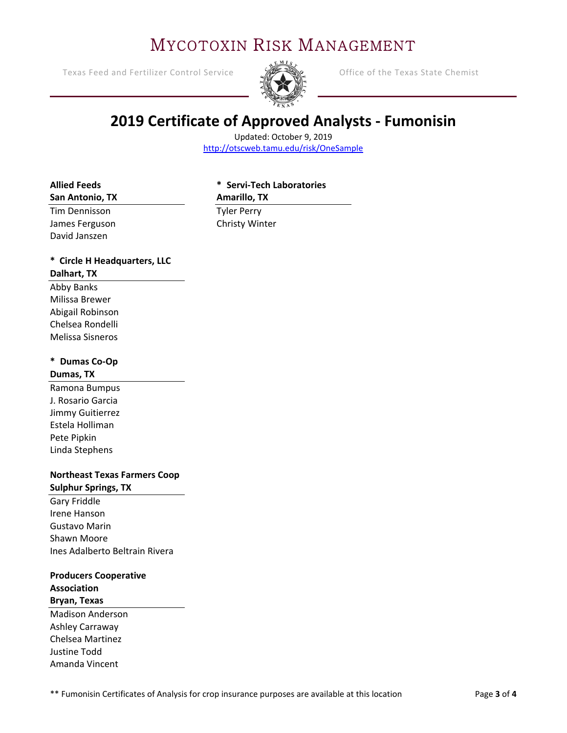# MYCOTOXIN RISK MANAGEMENT

Texas Feed and Fertilizer Control Service Office of the Texas State Chemist



# **2019 Certificate of Approved Analysts ‐ Fumonisin**

Updated: October 9, 2019 http://otscweb.tamu.edu/risk/OneSample

#### **Allied Feeds**

#### **\* Servi‐Tech Laboratories**

#### **Amarillo, TX**

Tim Dennisson James Ferguson David Janszen

**San Antonio, TX** 

Tyler Perry Christy Winter

# **\* Circle H Headquarters, LLC**

#### **Dalhart, TX**

Abby Banks Milissa Brewer Abigail Robinson Chelsea Rondelli Melissa Sisneros

# **\* Dumas Co‐Op**

#### **Dumas, TX**

Ramona Bumpus J. Rosario Garcia Jimmy Guitierrez Estela Holliman Pete Pipkin Linda Stephens

#### **Northeast Texas Farmers Coop Sulphur Springs, TX**

Gary Friddle Irene Hanson Gustavo Marin Shawn Moore Ines Adalberto Beltrain Rivera

#### **Producers Cooperative Association Bryan, Texas**

Madison Anderson Ashley Carraway Chelsea Martinez Justine Todd Amanda Vincent